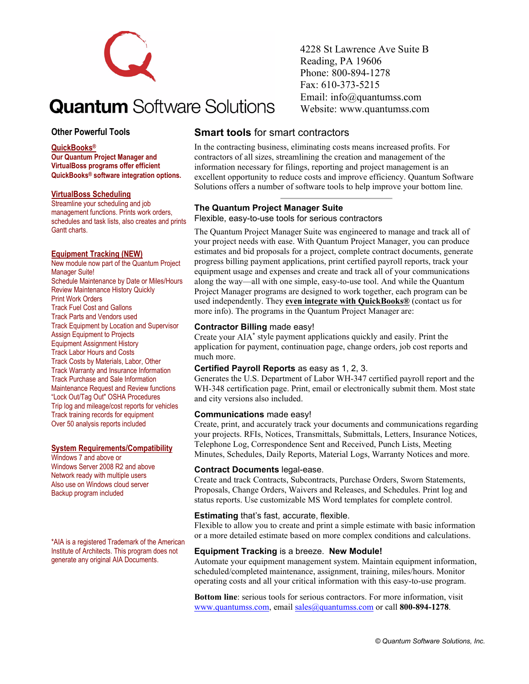

# **Quantum** Software Solutions

### **Other Powerful Tools**

#### **QuickBooks®**

**Our Quantum Project Manager and VirtualBoss programs offer efficient QuickBooks® software integration options.**

#### **VirtualBoss Scheduling**

Streamline your scheduling and job management functions. Prints work orders, schedules and task lists, also creates and prints Gantt charts.

#### **Equipment Tracking (NEW)**

New module now part of the Quantum Project Manager Suite! Schedule Maintenance by Date or Miles/Hours Review Maintenance History Quickly Print Work Orders Track Fuel Cost and Gallons Track Parts and Vendors used Track Equipment by Location and Supervisor Assign Equipment to Projects Equipment Assignment History Track Labor Hours and Costs Track Costs by Materials, Labor, Other Track Warranty and Insurance Information Track Purchase and Sale Information Maintenance Request and Review functions "Lock Out/Tag Out" OSHA Procedures Trip log and mileage/cost reports for vehicles Track training records for equipment Over 50 analysis reports included

#### **System Requirements/Compatibility**

Windows 7 and above or Windows Server 2008 R2 and above Network ready with multiple users Also use on Windows cloud server Backup program included

\*AIA is a registered Trademark of the American Institute of Architects. This program does not generate any original AIA Documents.

4228 St Lawrence Ave Suite B Reading, PA 19606 Phone: 800-894-1278 Fax: 610-373-5215 Email: info@quantumss.com Website: www.quantumss.com

# **Smart tools** for smart contractors

In the contracting business, eliminating costs means increased profits. For contractors of all sizes, streamlining the creation and management of the information necessary for filings, reporting and project management is an excellent opportunity to reduce costs and improve efficiency. Quantum Software Solutions offers a number of software tools to help improve your bottom line.

#### **The Quantum Project Manager Suite**

Flexible, easy-to-use tools for serious contractors

The Quantum Project Manager Suite was engineered to manage and track all of your project needs with ease. With Quantum Project Manager, you can produce estimates and bid proposals for a project, complete contract documents, generate progress billing payment applications, print certified payroll reports, track your equipment usage and expenses and create and track all of your communications along the way—all with one simple, easy-to-use tool. And while the Quantum Project Manager programs are designed to work together, each program can be used independently. They **even integrate with QuickBooks®** (contact us for more info). The programs in the Quantum Project Manager are:

#### **Contractor Billing** made easy!

Create your AIA\* style payment applications quickly and easily. Print the application for payment, continuation page, change orders, job cost reports and much more.

#### **Certified Payroll Reports** as easy as 1, 2, 3.

Generates the U.S. Department of Labor WH-347 certified payroll report and the WH-348 certification page. Print, email or electronically submit them. Most state and city versions also included.

#### **Communications** made easy!

Create, print, and accurately track your documents and communications regarding your projects. RFIs, Notices, Transmittals, Submittals, Letters, Insurance Notices, Telephone Log, Correspondence Sent and Received, Punch Lists, Meeting Minutes, Schedules, Daily Reports, Material Logs, Warranty Notices and more.

#### **Contract Documents** legal-ease.

Create and track Contracts, Subcontracts, Purchase Orders, Sworn Statements, Proposals, Change Orders, Waivers and Releases, and Schedules. Print log and status reports. Use customizable MS Word templates for complete control.

#### **Estimating** that's fast, accurate, flexible.

Flexible to allow you to create and print a simple estimate with basic information or a more detailed estimate based on more complex conditions and calculations.

#### **Equipment Tracking** is a breeze. **New Module!**

Automate your equipment management system. Maintain equipment information, scheduled/completed maintenance, assignment, training, miles/hours. Monitor operating costs and all your critical information with this easy-to-use program.

**Bottom line**: serious tools for serious contractors. For more information, visit [www.quantumss.com,](http://www.quantumss.com/) emai[l sales@quantumss.com](mailto:sales@quantumss.com) or call **800-894-1278**.